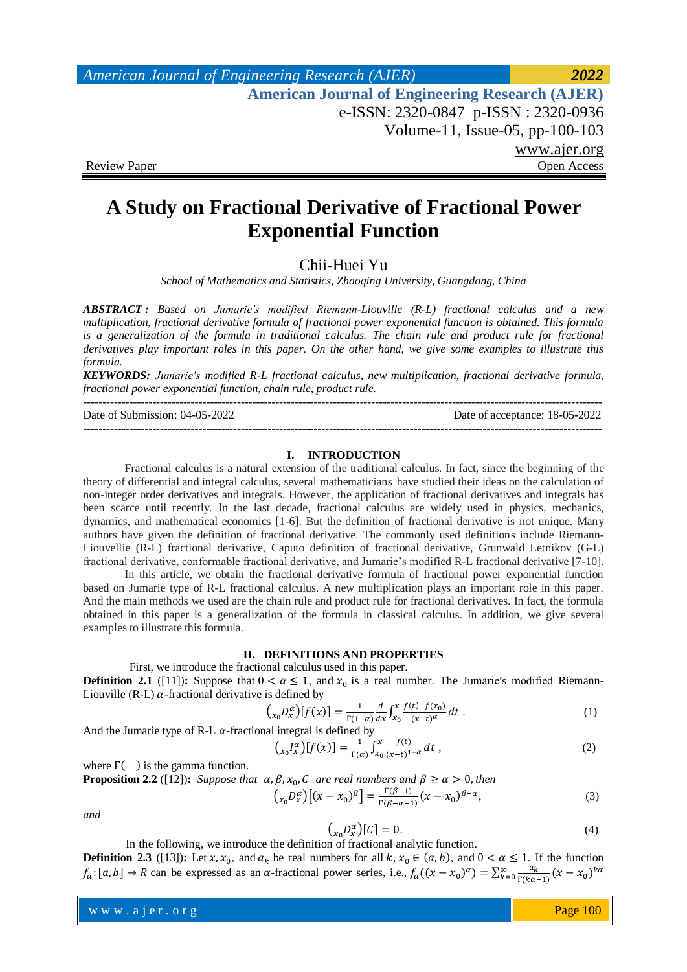*American Journal of Engineering Research (AJER) 2022*  **American Journal of Engineering Research (AJER)** e-ISSN: 2320-0847 p-ISSN : 2320-0936 Volume-11, Issue-05, pp-100-103 www.ajer.org Review Paper **Open Access** Open Access **Open Access** 

# **A Study on Fractional Derivative of Fractional Power Exponential Function**

Chii-Huei Yu

*School of Mathematics and Statistics, Zhaoqing University, Guangdong, China*

*ABSTRACT : Based on Jumarie′s modified Riemann-Liouville (R-L) fractional calculus and a new multiplication, fractional derivative formula of fractional power exponential function is obtained. This formula is a generalization of the formula in traditional calculus. The chain rule and product rule for fractional derivatives play important roles in this paper. On the other hand, we give some examples to illustrate this formula.*

*KEYWORDS: Jumarie′s modified R-L fractional calculus, new multiplication, fractional derivative formula, fractional power exponential function, chain rule, product rule.* ---------------------------------------------------------------------------------------------------------------------------------------

---------------------------------------------------------------------------------------------------------------------------------------

Date of Submission: 04-05-2022 Date of acceptance: 18-05-2022

# **I. INTRODUCTION**

Fractional calculus is a natural extension of the traditional calculus. In fact, since the beginning of the theory of differential and integral calculus, several mathematicians have studied their ideas on the calculation of non-integer order derivatives and integrals. However, the application of fractional derivatives and integrals has been scarce until recently. In the last decade, fractional calculus are widely used in physics, mechanics, dynamics, and mathematical economics [1-6]. But the definition of fractional derivative is not unique. Many authors have given the definition of fractional derivative. The commonly used definitions include Riemann-Liouvellie (R-L) fractional derivative, Caputo definition of fractional derivative, Grunwald Letnikov (G-L) fractional derivative, conformable fractional derivative, and Jumarie's modified R-L fractional derivative [7-10].

In this article, we obtain the fractional derivative formula of fractional power exponential function based on Jumarie type of R-L fractional calculus. A new multiplication plays an important role in this paper. And the main methods we used are the chain rule and product rule for fractional derivatives. In fact, the formula obtained in this paper is a generalization of the formula in classical calculus. In addition, we give several examples to illustrate this formula.

## **II. DEFINITIONS AND PROPERTIES**

First, we introduce the fractional calculus used in this paper. **Definition 2.1** ([11]): Suppose that  $0 < \alpha \le 1$ , and  $x_0$  is a real number. The Jumarie's modified Riemann-Liouville (R-L)  $\alpha$ -fractional derivative is defined by

$$
\left(\begin{array}{c}\n\chi_0 D_x^{\alpha}\n\end{array}\right)\n\left[f(x)\right] = \frac{1}{\Gamma(1-\alpha)} \frac{d}{dx} \int_{x_0}^x \frac{f(t) - f(x_0)}{(x - t)^{\alpha}} dt .
$$
\n(1)

And the Jumarie type of R-L  $\alpha$ -fractional integral is defined by

$$
\left(\int_{x_0}^{x} I_x^{\alpha} \right) [f(x)] = \frac{1}{\Gamma(\alpha)} \int_{x_0}^{x} \frac{f(t)}{(x-t)^{1-\alpha}} dt , \tag{2}
$$

where  $\Gamma$ ( ) is the gamma function.

**Proposition 2.2** ([12]): Suppose that  $\alpha, \beta, x_0, C$  are real numbers and  $\beta \ge \alpha > 0$ , then

$$
\left(\begin{matrix}x_0 D_x^{\alpha}\end{matrix}\right)\left[\left(x - x_0\right)^{\beta}\right] = \frac{\Gamma(\beta + 1)}{\Gamma(\beta - \alpha + 1)}\left(x - x_0\right)^{\beta - \alpha},\tag{3}
$$

*and*

$$
\left(\begin{array}{c}\n\chi_n D_x^{\alpha}\n\end{array}\right)[C] = 0. \tag{4}
$$

In the following, we introduce the definition of fractional analytic function.

**Definition 2.3** ([13]): Let  $x, x_0$ , and  $a_k$  be real numbers for all  $k, x_0 \in (a, b)$ , and  $0 < \alpha \le 1$ . If the function  $f_{\alpha}$ : [a, b]  $\rightarrow$  R can be expressed as an  $\alpha$ -fractional power series, i.e.,  $f_{\alpha}((x-x_0)^{\alpha}) = \sum_{k=0}^{\infty} \frac{a}{\Gamma(k)}$  $\sum_{k=0}^{\infty} \frac{a_k}{\Gamma(k\alpha+1)} (x-x_0)$ 

www.ajer.org where  $\mathcal{L} = \mathcal{L} \left( \mathcal{L} \right)$  is the set of  $\mathcal{L} \left( \mathcal{L} \right)$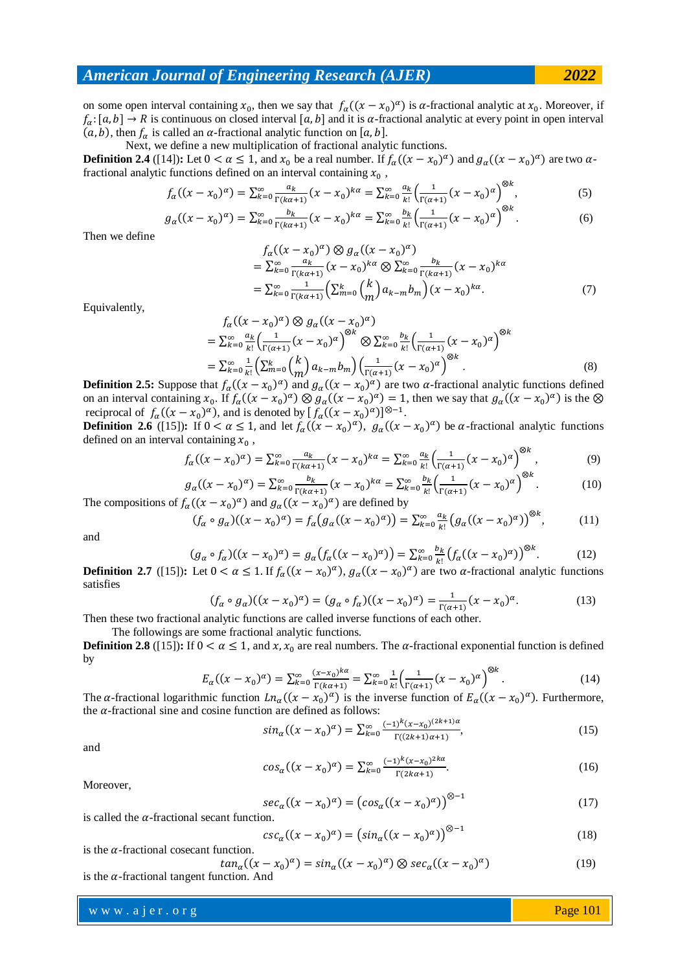## *American Journal of Engineering Research (AJER) 2022*

on some open interval containing  $x_0$ , then we say that  $f_\alpha((x-x_0)^\alpha)$  is  $\alpha$ -fractional analytic at  $x_0$ . Moreover, if  $f_{\alpha}:[a,b]\to R$  is continuous on closed interval [a, b] and it is  $\alpha$ -fractional analytic at every point in open interval  $(a, b)$ , then  $f_a$  is called an  $\alpha$ -fractional analytic function on [a, b].

 Next, we define a new multiplication of fractional analytic functions. **Definition 2.4** ([14]): Let  $0 < \alpha \le 1$ , and  $x_0$  be a real number. If  $f_\alpha((x - x_0)^\alpha)$  and  $g_\alpha((x - x_0)^\alpha)$  are two  $\alpha$ fractional analytic functions defined on an interval containing  $x_0$ ,

$$
f_{\alpha}((x - x_0)^{\alpha}) = \sum_{k=0}^{\infty} \frac{a_k}{\Gamma(k\alpha + 1)} (x - x_0)^{k\alpha} = \sum_{k=0}^{\infty} \frac{a_k}{k!} \left(\frac{1}{\Gamma(\alpha + 1)} (x - x_0)^{\alpha}\right)^{\otimes k},\tag{5}
$$

$$
g_{\alpha}((x-x_0)^{\alpha}) = \sum_{k=0}^{\infty} \frac{b_k}{\Gamma(k\alpha+1)} (x-x_0)^{k\alpha} = \sum_{k=0}^{\infty} \frac{b_k}{k!} \left(\frac{1}{\Gamma(\alpha+1)} (x-x_0)^{\alpha}\right)^{\otimes k}.
$$
 (6)

Then we define

$$
f_{\alpha}((x - x_0)^{\alpha}) \otimes g_{\alpha}((x - x_0)^{\alpha})
$$
  
=  $\sum_{k=0}^{\infty} \frac{a_k}{\Gamma(k\alpha+1)} (x - x_0)^{k\alpha} \otimes \sum_{k=0}^{\infty} \frac{b_k}{\Gamma(k\alpha+1)} (x - x_0)^{k\alpha}$   
=  $\sum_{k=0}^{\infty} \frac{1}{\Gamma(k\alpha+1)} (\sum_{m=0}^{k} {k \choose m} a_{k-m} b_m) (x - x_0)^{k\alpha}.$  (7)

Equivalently,

$$
f_{\alpha}((x - x_0)^{\alpha}) \otimes g_{\alpha}((x - x_0)^{\alpha})
$$
  
=  $\sum_{k=0}^{\infty} \frac{a_k}{k!} \left( \frac{1}{\Gamma(\alpha+1)} (x - x_0)^{\alpha} \right)^{\otimes k} \otimes \sum_{k=0}^{\infty} \frac{b_k}{k!} \left( \frac{1}{\Gamma(\alpha+1)} (x - x_0)^{\alpha} \right)^{\otimes k}$   
=  $\sum_{k=0}^{\infty} \frac{1}{k!} \left( \sum_{m=0}^{k} {k \choose m} a_{k-m} b_m \right) \left( \frac{1}{\Gamma(\alpha+1)} (x - x_0)^{\alpha} \right)^{\otimes k}$ . (8)

**Definition 2.5:** Suppose that  $f_\alpha((x-x_0)^\alpha)$  and  $g_\alpha((x-x_0)^\alpha)$  are two  $\alpha$ -fractional analytic functions defined on an interval containing  $x_0$ . If  $f_\alpha((x-x_0)^\alpha) \otimes g_\alpha((x-x_0)^\alpha) = 1$ , then we say that  $g_\alpha((x-x_0)^\alpha)$  is the reciprocal of  $f_{\alpha}((x-x_0)^{\alpha})$ , and is denoted by  $[f_{\alpha}((x-x_0)^{\alpha})]^{\otimes -1}$ .

**Definition 2.6** ([15]): If  $0 < \alpha \le 1$ , and let  $f_\alpha((x - x_0)^\alpha)$ ,  $g_\alpha((x - x_0)^\alpha)$  be  $\alpha$ -fractional analytic functions defined on an interval containing  $x_0$ ,  $\Omega$ 

$$
f_{\alpha}((x - x_0)^{\alpha}) = \sum_{k=0}^{\infty} \frac{a_k}{\Gamma(k\alpha + 1)} (x - x_0)^{k\alpha} = \sum_{k=0}^{\infty} \frac{a_k}{k!} \left( \frac{1}{\Gamma(\alpha + 1)} (x - x_0)^{\alpha} \right)^{\otimes k},
$$
(9)

$$
g_{\alpha}((x-x_0)^{\alpha}) = \sum_{k=0}^{\infty} \frac{b_k}{\Gamma(k\alpha+1)} (x-x_0)^{k\alpha} = \sum_{k=0}^{\infty} \frac{b_k}{k!} \left(\frac{1}{\Gamma(\alpha+1)} (x-x_0)^{\alpha}\right)^{\otimes \alpha}.
$$
 (10)

The compositions of  $f_{\alpha}((x-x_0)^{\alpha})$  and  $g_{\alpha}((x-x_0)^{\alpha})$  are defined by  $(f_{\alpha} \circ g_{\alpha})((x - x_0)^{\alpha}) = f_{\alpha}(g_{\alpha}((x - x_0)^{\alpha})) = \sum_{k=0}^{\infty} \frac{a}{k}$  $\int_{k=0}^{\infty} \frac{a_k}{k!} \big(g_{\alpha}((x-x_0)^{\alpha})\big)$  $(11)$ 

and

$$
(g_{\alpha} \circ f_{\alpha})((x - x_0)^{\alpha}) = g_{\alpha}(f_{\alpha}((x - x_0)^{\alpha})) = \sum_{k=0}^{\infty} \frac{b_k}{k!} (f_{\alpha}((x - x_0)^{\alpha}))^{\otimes k}.
$$
 (12)

**Definition 2.7** ([15]): Let  $0 < \alpha \le 1$ . If  $f_\alpha((x - x_0)^\alpha)$ ,  $g_\alpha((x - x_0)^\alpha)$  are two  $\alpha$ -fractional analytic functions satisfies

$$
(f_{\alpha} \circ g_{\alpha})((x - x_0)^{\alpha}) = (g_{\alpha} \circ f_{\alpha})((x - x_0)^{\alpha}) = \frac{1}{\Gamma(\alpha + 1)}(x - x_0)^{\alpha}.
$$
 (13)

Then these two fractional analytic functions are called inverse functions of each other.

The followings are some fractional analytic functions. **Definition 2.8** ([15]): If  $0 < \alpha \le 1$ , and x, x<sub>0</sub> are real numbers. The  $\alpha$ -fractional exponential function is defined

by

$$
E_{\alpha}((x - x_0)^{\alpha}) = \sum_{k=0}^{\infty} \frac{(x - x_0)^{k\alpha}}{\Gamma(k\alpha + 1)} = \sum_{k=0}^{\infty} \frac{1}{k!} \left(\frac{1}{\Gamma(\alpha + 1)}(x - x_0)^{\alpha}\right)^{\otimes k}.
$$
 (14)

The  $\alpha$ -fractional logarithmic function  $Ln_{\alpha}((x-x_0)^{\alpha})$  is the inverse function of  $E_{\alpha}((x-x_0)^{\alpha})$ . Furthermore, the  $\alpha$ -fractional sine and cosine function are defined as follows:

$$
\sin_{\alpha}\left((x-x_0)^{\alpha}\right) = \sum_{k=0}^{\infty} \frac{(-1)^k (x-x_0)^{(2k+1)\alpha}}{\Gamma((2k+1)\alpha+1)},\tag{15}
$$

and

$$
cos_{\alpha}((x - x_0)^{\alpha}) = \sum_{k=0}^{\infty} \frac{(-1)^k (x - x_0)^{2k\alpha}}{\Gamma(2k\alpha + 1)}.
$$
 (16)

Moreover,

$$
sec_{\alpha}((x - x_0)^{\alpha}) = (cos_{\alpha}((x - x_0)^{\alpha}))^{\otimes -1}
$$
 (17)

is called the  $\alpha$ -fractional secant function.

$$
csc_{\alpha}\left((x-x_0)^{\alpha}\right) = \left(\sin_{\alpha}\left((x-x_0)^{\alpha}\right)\right)^{\otimes -1} \tag{18}
$$

is the  $\alpha$ -fractional cosecant function.

$$
tan_{\alpha}((x - x_0)^{\alpha}) = sin_{\alpha}((x - x_0)^{\alpha}) \otimes sec_{\alpha}((x - x_0)^{\alpha})
$$
 (19)

### www.ajer.org where  $\mathcal{L} = \mathcal{L} \left( \mathcal{L} \right)$  is the set of  $\mathcal{L} \left( \mathcal{L} \right)$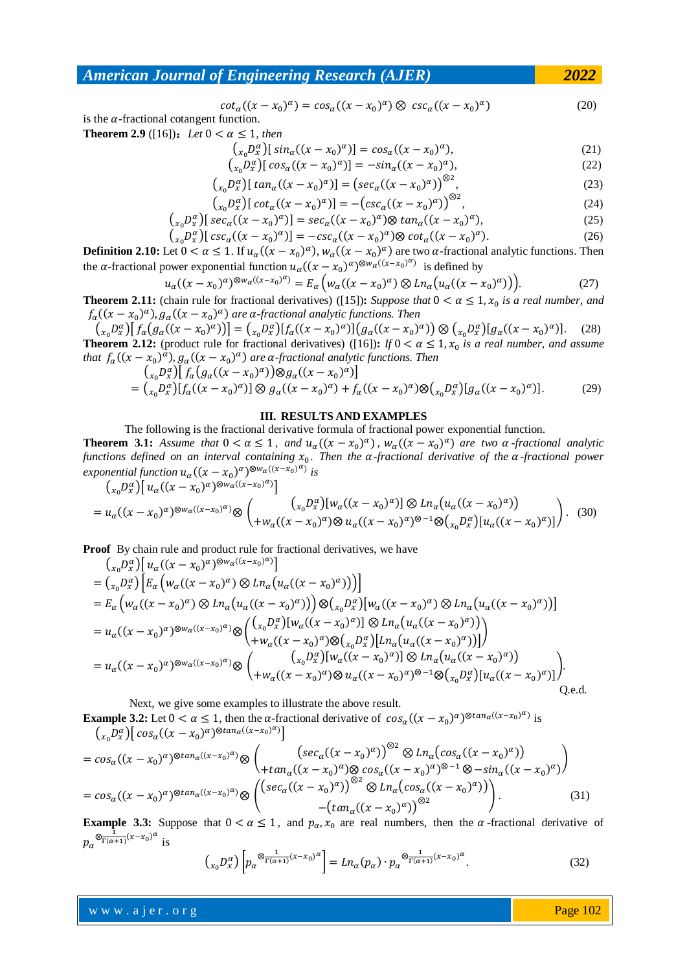# *American Journal of Engineering Research (AJER) 2022*

$$
cot_{\alpha}((x - x_0)^{\alpha}) = cos_{\alpha}((x - x_0)^{\alpha}) \otimes csc_{\alpha}((x - x_0)^{\alpha})
$$
\n(20)

is the  $\alpha$ -fractional cotangent function. **Theorem 2.9** ([16]): Let  $0 < \alpha \le 1$ , then

$$
\left(\int_{x_0} D_x^{\alpha} \right) \left[ \sin_{\alpha} ((x - x_0)^{\alpha}) \right] = \cos_{\alpha} ((x - x_0)^{\alpha}), \tag{21}
$$

$$
\left(\begin{array}{c}\n\chi_0 D_x^{\alpha}\n\end{array}\right)\n\left[\cos_{\alpha}((x - x_0)^{\alpha})\right] = -\sin_{\alpha}((x - x_0)^{\alpha}),\n\tag{22}
$$

$$
\left(\begin{array}{c}\n\chi_n D_x^{\alpha}\n\end{array}\right)\n\left[\tan_{\alpha}\left((x-x_0)^{\alpha}\right)\right] = \left(\sec_{\alpha}\left((x-x_0)^{\alpha}\right)\right)^{\otimes 2},\n\tag{23}
$$

$$
\left(\begin{array}{c}\n\chi_0 D_x^{\alpha}\n\end{array}\right)\n\left[\cot_{\alpha}\left((x-x_0)^{\alpha}\right)\right] = -\left(\csc_{\alpha}\left((x-x_0)^{\alpha}\right)\right)^{\otimes 2},\n\tag{24}
$$

$$
\left(\begin{array}{c}\n\chi_0 D_x^{\alpha}\n\end{array}\right)\n\left[\sec_\alpha((x-x_0)^{\alpha})\right] = \sec_\alpha((x-x_0)^{\alpha}) \otimes \tan_\alpha((x-x_0)^{\alpha}),\n\tag{25}
$$

$$
\left(\begin{array}{c}\n\chi_0 D_x^{\alpha}\n\end{array}\right)\n\left[\csc^{\alpha}((x-x_0)^{\alpha})\right] = -\csc^{\alpha}((x-x_0)^{\alpha})\otimes \cot^{\alpha}((x-x_0)^{\alpha}).\n\tag{26}
$$

**Definition 2.10:** Let  $0 < \alpha \le 1$ . If  $u_\alpha((x - x_0)^\alpha)$ ,  $w_\alpha((x - x_0)^\alpha)$  are two  $\alpha$ -fractional analytic functions. Then the  $\alpha$ -fractional power exponential function  $u_{\alpha}((x-x_0)^{\alpha})^{\otimes w_{\alpha}((x-x_0)^{\alpha})}$  is defined by

$$
u_{\alpha}((x-x_0)^{\alpha})^{\otimes w_{\alpha}((x-x_0)^{\alpha})} = E_{\alpha}\left(w_{\alpha}((x-x_0)^{\alpha})\otimes Ln_{\alpha}\left(u_{\alpha}((x-x_0)^{\alpha})\right)\right).
$$
 (27)

**Theorem 2.11:** (chain rule for fractional derivatives) ([15]): Suppose that  $0 < \alpha \leq 1$ ,  $x_0$  is a real number, and  $f_{\alpha}((x-x_0)^{\alpha})$ ,  $g_{\alpha}((x-x_0)^{\alpha})$  are  $\alpha$ -fractional analytic functions. Then

$$
\left(\begin{array}{c}\n\chi_0 D_x^{\alpha}\right)\n\left[f_{\alpha}\left(g_{\alpha}\left((x-x_0)^{\alpha}\right)\right)\right] = \left(\begin{array}{c}\n\chi_0 D_x^{\alpha}\right)\n\left[f_{\alpha}\left((x-x_0)^{\alpha}\right)\right]\n\left(g_{\alpha}\left((x-x_0)^{\alpha}\right)\right)\n\otimes \left(\begin{array}{c}\n\chi_0 D_x^{\alpha}\right)\n\left[g_{\alpha}\left((x-x_0)^{\alpha}\right)\right]\n\end{array}.\n\end{array}
$$
\n(28)  
\n**Theorem 2.12:** (product rule for fractional derivatives) ([16]):  $If \ 0 < \alpha \leq 1, x_0 \text{ is a real number, and assume that } f_{\alpha}\left((x-x_0)^{\alpha}\right), g_{\alpha}\left((x-x_0)^{\alpha}\right) \text{ are a-fractional analytic functions. Then}$ 

$$
\begin{aligned} &\left(\begin{array}{c} \binom{x_0}{x} \binom{y_0}{x} \left[ f_\alpha \left( g_\alpha \left( (x - x_0)^\alpha \right) \right) \otimes g_\alpha \left( (x - x_0)^\alpha \right) \right] \end{array} \right) \\ &= \binom{x_0}{x_0} \binom{y_0}{x} \left[ f_\alpha \left( (x - x_0)^\alpha \right) \right] \otimes g_\alpha \left( (x - x_0)^\alpha \right) + f_\alpha \left( (x - x_0)^\alpha \right) \otimes \binom{x_0}{x_0} \left[ g_\alpha \left( (x - x_0)^\alpha \right) \right]. \end{aligned} \tag{29}
$$

#### **III. RESULTS AND EXAMPLES**

The following is the fractional derivative formula of fractional power exponential function. **Theorem 3.1:** Assume that  $0 < \alpha \leq 1$ , and  $u_{\alpha}((x - x_0)^{\alpha})$ ,  $w_{\alpha}((x - x_0)^{\alpha})$  are two  $\alpha$ -fractional analytic *functions defined on an interval containing*  $x_0$ . Then the  $\alpha$ -fractional derivative of the  $\alpha$ -fractional power *exponential function*  $u_{\alpha}((x - x_0)^{\alpha})^{\otimes w_{\alpha}((x - x_0)^{\alpha})}$  *is* 

$$
\left(\begin{array}{c}\n\chi_0 D_x^{\alpha}\bigg[\left(u_{\alpha}\left((x-x_0)^{\alpha}\right)^{\otimes w_{\alpha}\left((x-x_0)^{\alpha}\right)}\right]\n\\
= u_{\alpha}\left((x-x_0)^{\alpha}\right)^{\otimes w_{\alpha}\left((x-x_0)^{\alpha}\right)}\otimes \left(\begin{array}{c}\n\chi_0 D_x^{\alpha}\bigg[\left(w_{\alpha}\left((x-x_0)^{\alpha}\right)\right]\bigotimes Ln_{\alpha}\left(u_{\alpha}\left((x-x_0)^{\alpha}\right)\right)\n\\
+ w_{\alpha}\left((x-x_0)^{\alpha}\right)\bigotimes u_{\alpha}\left((x-x_0)^{\alpha}\right)^{\otimes-1}\bigotimes \left(\begin{array}{c}\n\chi_0 D_x^{\alpha}\bigg][u_{\alpha}\left((x-x_0)^{\alpha}\right)\n\end{array}\right)\n\right).\n\tag{30}
$$

**Proof** By chain rule and product rule for fractional derivatives, we have

$$
\begin{split}\n&\left(\begin{array}{c}\n\chi_{0}D_{x}^{\alpha}\right)\n\left[u_{\alpha}((x-x_{0})^{\alpha})^{\otimes w_{\alpha}((x-x_{0})^{\alpha})}\n\end{array}\right] \\
&=\n\left(\begin{array}{c}\n\chi_{0}D_{x}^{\alpha}\n\end{array}\right)\n\left[E_{\alpha}\left(w_{\alpha}((x-x_{0})^{\alpha})\otimes Ln_{\alpha}\left(u_{\alpha}((x-x_{0})^{\alpha})\right)\right)\n\right] \\
&=\nE_{\alpha}\left(w_{\alpha}((x-x_{0})^{\alpha})\otimes Ln_{\alpha}\left(u_{\alpha}((x-x_{0})^{\alpha})\right)\right)\otimes\left(\begin{array}{c}\n\chi_{0}D_{x}^{\alpha}\n\end{array}\right)\n\left[w_{\alpha}((x-x_{0})^{\alpha})\otimes Ln_{\alpha}\left(u_{\alpha}((x-x_{0})^{\alpha})\right)\n\end{array}\right] \\
&=\nu_{\alpha}((x-x_{0})^{\alpha})^{\otimes w_{\alpha}((x-x_{0})^{\alpha})}\otimes\left(\begin{array}{c}\n\left(\begin{array}{c}\n\chi_{0}D_{x}^{\alpha}\n\end{array}\right)\n\left[w_{\alpha}((x-x_{0})^{\alpha})\right]\n\otimes Ln_{\alpha}\left(u_{\alpha}((x-x_{0})^{\alpha})\right)\n\end{array}\right) \\
&=\nu_{\alpha}((x-x_{0})^{\alpha})^{\otimes w_{\alpha}((x-x_{0})^{\alpha})}\otimes\left(\begin{array}{c}\n\left(\begin{array}{c}\n\chi_{0}D_{x}^{\alpha}\n\end{array}\right)\n\left[u_{\alpha}((x-x_{0})^{\alpha})\n\end{array}\right]\n\otimes Ln_{\alpha}\left(u_{\alpha}((x-x_{0})^{\alpha})\right)\n\end{array}\right) \\
&=\nu_{\alpha}((x-x_{0})^{\alpha})^{\otimes w_{\alpha}((x-x_{0})^{\alpha})}\otimes\left(\begin{array}{c}\n\left(\begin{array}{c}\n\chi_{0}D_{x}^{\alpha}\n\end{array}\right)\n\left[w_{\alpha}((x-x_{0})^{\alpha})\n\end{array}\right]\n\otimes Ln_{\alpha}\left(u_{\alpha}((x-x_{0})^{\alpha})\n\end{array}\right) \\
&+\nw_{\alpha}((x-x_{0})^{\
$$

Next, we give some examples to illustrate the above result.

**Example 3.2:** Let  $0 < \alpha \le 1$ , then the  $\alpha$ -fractional derivative of  $cos_{\alpha}((x - x_0)^{\alpha})^{\otimes tan_{\alpha}((x - x_0)^{\alpha})}$  is  $\left(\int_{x_0}D_x^{\alpha}\right)\left[\cos_{\alpha}\left((x-x_0)^{\alpha}\right)^{\otimes \tan_{\alpha}\left((x-x_0)^{\alpha}\right)}\right]$ 

$$
= cos_{\alpha}((x - x_0)^{\alpha})^{\otimes tan_{\alpha}((x - x_0)^{\alpha})} \otimes \left( \frac{(sec_{\alpha}((x - x_0)^{\alpha}))^{\otimes 2} \otimes Ln_{\alpha}(cos_{\alpha}((x - x_0)^{\alpha}))}{+tan_{\alpha}((x - x_0)^{\alpha}) \otimes cos_{\alpha}((x - x_0)^{\alpha})^{\otimes -1} \otimes -sin_{\alpha}((x - x_0)^{\alpha})} \right)
$$
  
=  $cos_{\alpha}((x - x_0)^{\alpha})^{\otimes tan_{\alpha}((x - x_0)^{\alpha})} \otimes \left( \frac{(sec_{\alpha}((x - x_0)^{\alpha}))^{\otimes 2} \otimes Ln_{\alpha}(cos_{\alpha}((x - x_0)^{\alpha}))}{-(tan_{\alpha}((x - x_0)^{\alpha}))^{\otimes 2}} \right).$  (31)

**Example 3.3:** Suppose that  $0 < \alpha \le 1$ , and  $p_\alpha$ ,  $x_0$  are real numbers, then the  $\alpha$ -fractional derivative of  $p_{\alpha} \otimes \frac{1}{\Gamma(\alpha+1)} (x-x_0)^{\alpha}$  is

$$
\left(\mathbf{x}_0 \mathbf{D}_{\alpha}^{\alpha}\right) \left[ p_{\alpha} \frac{\mathbf{D}_{\Gamma(\alpha+1)}(x-x_0)^{\alpha}}{\Gamma(\alpha+1)} \right] = L n_{\alpha} (p_{\alpha}) \cdot p_{\alpha} \frac{\mathbf{D}_{\Gamma(\alpha+1)}(x-x_0)^{\alpha}}{\Gamma(\alpha+1)}.
$$
\n(32)

www.ajer.org where  $\mathcal{L} = \mathcal{L} \left( \mathcal{L} \right)$  is the set of  $\mathcal{L} \left( \mathcal{L} \right)$